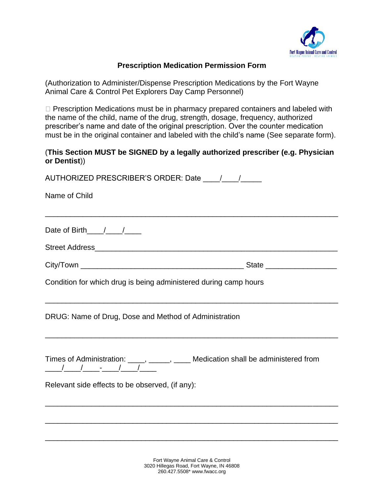

## **Prescription Medication Permission Form**

(Authorization to Administer/Dispense Prescription Medications by the Fort Wayne Animal Care & Control Pet Explorers Day Camp Personnel)

 $\Box$  Prescription Medications must be in pharmacy prepared containers and labeled with the name of the child, name of the drug, strength, dosage, frequency, authorized prescriber's name and date of the original prescription. Over the counter medication must be in the original container and labeled with the child's name (See separate form).

## (**This Section MUST be SIGNED by a legally authorized prescriber (e.g. Physician or Dentist**))

| Name of Child                                                                                                                                               |  |
|-------------------------------------------------------------------------------------------------------------------------------------------------------------|--|
|                                                                                                                                                             |  |
| Date of Birth $/$ / /                                                                                                                                       |  |
|                                                                                                                                                             |  |
|                                                                                                                                                             |  |
| Condition for which drug is being administered during camp hours                                                                                            |  |
| DRUG: Name of Drug, Dose and Method of Administration                                                                                                       |  |
| Times of Administration: _____, _____, _____ Medication shall be administered from<br>$\frac{1}{2}$ $\frac{1}{2}$ $\frac{1}{2}$ $\frac{1}{2}$ $\frac{1}{2}$ |  |
| Relevant side effects to be observed, (if any):                                                                                                             |  |
|                                                                                                                                                             |  |
|                                                                                                                                                             |  |
|                                                                                                                                                             |  |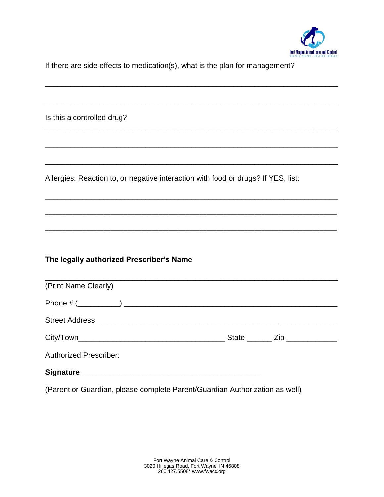

If there are side effects to medication(s), what is the plan for management?

\_\_\_\_\_\_\_\_\_\_\_\_\_\_\_\_\_\_\_\_\_\_\_\_\_\_\_\_\_\_\_\_\_\_\_\_\_\_\_\_\_\_\_\_\_\_\_\_\_\_\_\_\_\_\_\_\_\_\_\_\_\_\_\_\_\_\_\_\_\_

\_\_\_\_\_\_\_\_\_\_\_\_\_\_\_\_\_\_\_\_\_\_\_\_\_\_\_\_\_\_\_\_\_\_\_\_\_\_\_\_\_\_\_\_\_\_\_\_\_\_\_\_\_\_\_\_\_\_\_\_\_\_\_\_\_\_\_\_\_\_

\_\_\_\_\_\_\_\_\_\_\_\_\_\_\_\_\_\_\_\_\_\_\_\_\_\_\_\_\_\_\_\_\_\_\_\_\_\_\_\_\_\_\_\_\_\_\_\_\_\_\_\_\_\_\_\_\_\_\_\_\_\_\_\_\_\_\_\_\_\_

\_\_\_\_\_\_\_\_\_\_\_\_\_\_\_\_\_\_\_\_\_\_\_\_\_\_\_\_\_\_\_\_\_\_\_\_\_\_\_\_\_\_\_\_\_\_\_\_\_\_\_\_\_\_\_\_\_\_\_\_\_\_\_\_\_\_\_\_\_\_

\_\_\_\_\_\_\_\_\_\_\_\_\_\_\_\_\_\_\_\_\_\_\_\_\_\_\_\_\_\_\_\_\_\_\_\_\_\_\_\_\_\_\_\_\_\_\_\_\_\_\_\_\_\_\_\_\_\_\_\_\_\_\_\_\_\_\_\_\_\_

\_\_\_\_\_\_\_\_\_\_\_\_\_\_\_\_\_\_\_\_\_\_\_\_\_\_\_\_\_\_\_\_\_\_\_\_\_\_\_\_\_\_\_\_\_\_\_\_\_\_\_\_\_\_\_\_\_\_\_\_\_\_\_\_\_\_\_\_\_\_

\_\_\_\_\_\_\_\_\_\_\_\_\_\_\_\_\_\_\_\_\_\_\_\_\_\_\_\_\_\_\_\_\_\_\_\_\_\_\_\_\_\_\_\_\_\_\_\_\_\_\_\_\_\_\_\_\_\_\_\_\_\_\_\_\_\_\_\_\_\_\_\_\_\_\_\_\_\_\_\_\_\_\_\_\_

\_\_\_\_\_\_\_\_\_\_\_\_\_\_\_\_\_\_\_\_\_\_\_\_\_\_\_\_\_\_\_\_\_\_\_\_\_\_\_\_\_\_\_\_\_\_\_\_\_\_\_\_\_\_\_\_\_\_\_\_\_\_\_\_\_\_\_\_\_\_\_\_\_\_\_\_\_\_\_\_\_\_\_\_\_

Is this a controlled drug?

Allergies: Reaction to, or negative interaction with food or drugs? If YES, list:

## **The legally authorized Prescriber's Name**

| (Print Name Clearly)          |                                  |
|-------------------------------|----------------------------------|
|                               |                                  |
|                               |                                  |
|                               | State ________ Zip _____________ |
| <b>Authorized Prescriber:</b> |                                  |
|                               |                                  |

(Parent or Guardian, please complete Parent/Guardian Authorization as well)